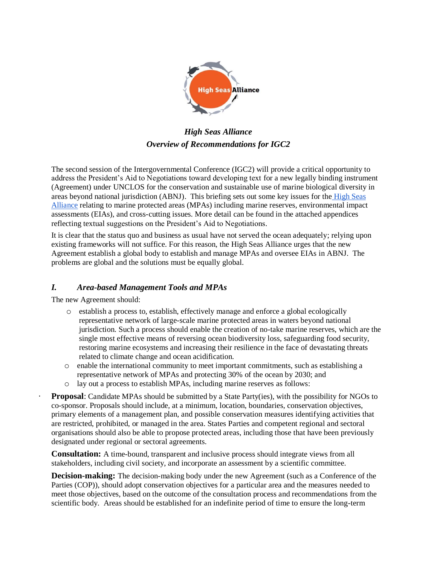

*High Seas Alliance Overview of Recommendations for IGC2*

The second session of the Intergovernmental Conference (IGC2) will provide a critical opportunity to address the President's Aid to Negotiations toward developing text for a new legally binding instrument (Agreement) under UNCLOS for the conservation and sustainable use of marine biological diversity in areas beyond national jurisdiction (ABNJ). This briefing sets out some key issues for the [High Seas](http://highseasalliance.org/)  [Alliance](http://highseasalliance.org/) relating to marine protected areas (MPAs) including marine reserves, environmental impact assessments (EIAs), and cross-cutting issues. More detail can be found in the attached appendices reflecting textual suggestions on the President's Aid to Negotiations.

It is clear that the status quo and business as usual have not served the ocean adequately; relying upon existing frameworks will not suffice. For this reason, the High Seas Alliance urges that the new Agreement establish a global body to establish and manage MPAs and oversee EIAs in ABNJ. The problems are global and the solutions must be equally global.

# *I. Area-based Management Tools and MPAs*

The new Agreement should:

- o establish a process to, establish, effectively manage and enforce a global ecologically representative network of large-scale marine protected areas in waters beyond national jurisdiction. Such a process should enable the creation of no-take marine reserves, which are the single most effective means of reversing ocean biodiversity loss, safeguarding food security, restoring marine ecosystems and increasing their resilience in the face of devastating threats related to climate change and ocean acidification.
- o enable the international community to meet important commitments, such as establishing a representative network of MPAs and protecting 30% of the ocean by 2030; and
- o lay out a process to establish MPAs, including marine reserves as follows:

**Proposal**: Candidate MPAs should be submitted by a State Party(ies), with the possibility for NGOs to co-sponsor. Proposals should include*,* at a minimum, location, boundaries, conservation objectives, primary elements of a management plan, and possible conservation measures identifying activities that are restricted, prohibited, or managed in the area. States Parties and competent regional and sectoral organisations should also be able to propose protected areas, including those that have been previously designated under regional or sectoral agreements.

 **Consultation:** A time-bound, transparent and inclusive process should integrate views from all stakeholders, including civil society, and incorporate an assessment by a scientific committee.

**Decision-making:** The decision-making body under the new Agreement (such as a Conference of the Parties (COP)), should adopt conservation objectives for a particular area and the measures needed to meet those objectives, based on the outcome of the consultation process and recommendations from the scientific body. Areas should be established for an indefinite period of time to ensure the long-term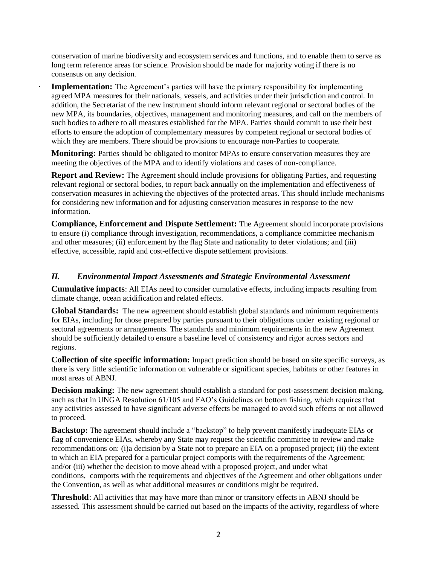conservation of marine biodiversity and ecosystem services and functions, and to enable them to serve as long term reference areas for science. Provision should be made for majority voting if there is no consensus on any decision.

**Implementation:** The Agreement's parties will have the primary responsibility for implementing agreed MPA measures for their nationals, vessels, and activities under their jurisdiction and control. In addition, the Secretariat of the new instrument should inform relevant regional or sectoral bodies of the new MPA, its boundaries, objectives, management and monitoring measures, and call on the members of such bodies to adhere to all measures established for the MPA. Parties should commit to use their best efforts to ensure the adoption of complementary measures by competent regional or sectoral bodies of which they are members. There should be provisions to encourage non-Parties to cooperate.

**Monitoring:** Parties should be obligated to monitor MPAs to ensure conservation measures they are meeting the objectives of the MPA and to identify violations and cases of non-compliance.

**Report and Review:** The Agreement should include provisions for obligating Parties, and requesting relevant regional or sectoral bodies, to report back annually on the implementation and effectiveness of conservation measures in achieving the objectives of the protected areas. This should include mechanisms for considering new information and for adjusting conservation measures in response to the new information.

**Compliance, Enforcement and Dispute Settlement:** The Agreement should incorporate provisions to ensure (i) compliance through investigation, recommendations, a compliance committee mechanism and other measures; (ii) enforcement by the flag State and nationality to deter violations; and (iii) effective, accessible, rapid and cost-effective dispute settlement provisions.

### *II. Environmental Impact Assessments and Strategic Environmental Assessment*

**Cumulative impacts**: All EIAs need to consider cumulative effects, including impacts resulting from climate change, ocean acidification and related effects.

**Global Standards:** The new agreement should establish global standards and minimum requirements for EIAs, including for those prepared by parties pursuant to their obligations under existing regional or sectoral agreements or arrangements. The standards and minimum requirements in the new Agreement should be sufficiently detailed to ensure a baseline level of consistency and rigor across sectors and regions.

**Collection of site specific information:** Impact prediction should be based on site specific surveys, as there is very little scientific information on vulnerable or significant species, habitats or other features in most areas of ABNJ.

**Decision making:** The new agreement should establish a standard for post-assessment decision making, such as that in UNGA Resolution 61/105 and FAO's Guidelines on bottom fishing, which requires that any activities assessed to have significant adverse effects be managed to avoid such effects or not allowed to proceed.

**Backstop:** The agreement should include a "backstop" to help prevent manifestly inadequate EIAs or flag of convenience EIAs, whereby any State may request the scientific committee to review and make recommendations on: (i)a decision by a State not to prepare an EIA on a proposed project; (ii) the extent to which an EIA prepared for a particular project comports with the requirements of the Agreement; and/or (iii) whether the decision to move ahead with a proposed project, and under what conditions, comports with the requirements and objectives of the Agreement and other obligations under the Convention, as well as what additional measures or conditions might be required.

**Threshold**: All activities that may have more than minor or transitory effects in ABNJ should be assessed. This assessment should be carried out based on the impacts of the activity, regardless of where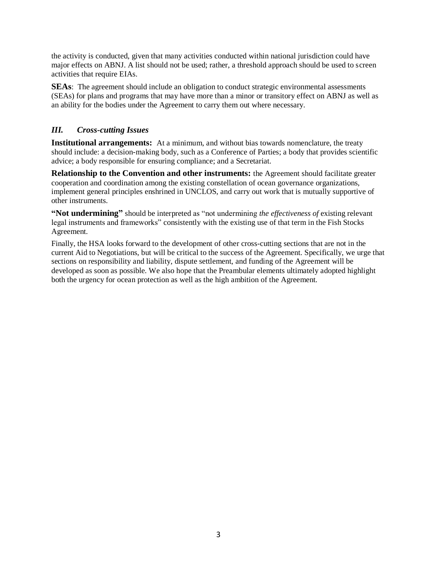the activity is conducted, given that many activities conducted within national jurisdiction could have major effects on ABNJ. A list should not be used; rather, a threshold approach should be used to screen activities that require EIAs.

**SEAs**: The agreement should include an obligation to conduct strategic environmental assessments (SEAs) for plans and programs that may have more than a minor or transitory effect on ABNJ as well as an ability for the bodies under the Agreement to carry them out where necessary.

# *III. Cross-cutting Issues*

**Institutional arrangements:** At a minimum, and without bias towards nomenclature, the treaty should include: a decision-making body, such as a Conference of Parties; a body that provides scientific advice; a body responsible for ensuring compliance; and a Secretariat.

**Relationship to the Convention and other instruments:** the Agreement should facilitate greater cooperation and coordination among the existing constellation of ocean governance organizations, implement general principles enshrined in UNCLOS, and carry out work that is mutually supportive of other instruments.

**"Not undermining"** should be interpreted as "not undermining *the effectiveness of* existing relevant legal instruments and frameworks" consistently with the existing use of that term in the Fish Stocks Agreement.

Finally, the HSA looks forward to the development of other cross-cutting sections that are not in the current Aid to Negotiations, but will be critical to the success of the Agreement. Specifically, we urge that sections on responsibility and liability, dispute settlement, and funding of the Agreement will be developed as soon as possible. We also hope that the Preambular elements ultimately adopted highlight both the urgency for ocean protection as well as the high ambition of the Agreement.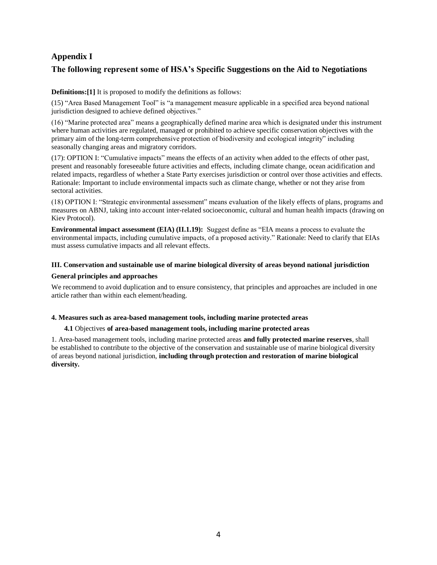# **Appendix I**

## **The following represent some of HSA's Specific Suggestions on the Aid to Negotiations**

### **Definitions:[1]** It is proposed to modify the definitions as follows:

(15) "Area Based Management Tool" is "a management measure applicable in a specified area beyond national jurisdiction designed to achieve defined objectives."

(16) "Marine protected area" means a geographically defined marine area which is designated under this instrument where human activities are regulated, managed or prohibited to achieve specific conservation objectives with the primary aim of the long-term comprehensive protection of biodiversity and ecological integrity" including seasonally changing areas and migratory corridors.

(17): OPTION I: "Cumulative impacts" means the effects of an activity when added to the effects of other past, present and reasonably foreseeable future activities and effects, including climate change, ocean acidification and related impacts, regardless of whether a State Party exercises jurisdiction or control over those activities and effects. Rationale: Important to include environmental impacts such as climate change, whether or not they arise from sectoral activities.

(18) OPTION I: "Strategic environmental assessment" means evaluation of the likely effects of plans, programs and measures on ABNJ, taking into account inter-related socioeconomic, cultural and human health impacts (drawing on Kiev Protocol).

**Environmental impact assessment (EIA) (II.1.19):** Suggest define as "EIA means a process to evaluate the environmental impacts, including cumulative impacts, of a proposed activity." Rationale: Need to clarify that EIAs must assess cumulative impacts and all relevant effects.

### **III. Conservation and sustainable use of marine biological diversity of areas beyond national jurisdiction General principles and approaches**

We recommend to avoid duplication and to ensure consistency, that principles and approaches are included in one article rather than within each element/heading.

### **4. Measures such as area-based management tools, including marine protected areas**

### **4.1** Objectives **of area-based management tools, including marine protected areas**

1. Area-based management tools, including marine protected areas **and fully protected marine reserves**, shall be established to contribute to the objective of the conservation and sustainable use of marine biological diversity of areas beyond national jurisdiction, **including through protection and restoration of marine biological diversity.**